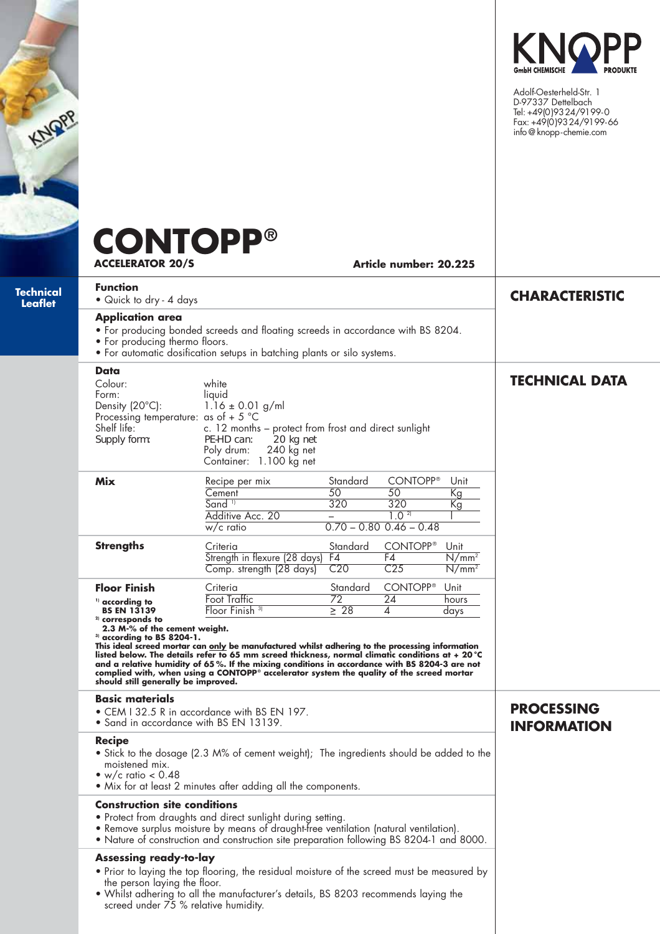| <b>NOPP</b>                 | <b>CONTOPP®</b><br><b>ACCELERATOR 20/S</b>                                                                                                                                                                                                                                                                         |                                                                                                                                                                                                                                                                                                                                                                                                                                                                   |                                          | Article number: 20.225                                              |                              | KNOPP<br>Adolf-Oesterheld-Str. 1<br>D-97337 Dettelbach<br>Tel: +49(0)9324/9199-0<br>Fax: +49(0)9324/9199-66<br>info@knopp-chemie.com |
|-----------------------------|--------------------------------------------------------------------------------------------------------------------------------------------------------------------------------------------------------------------------------------------------------------------------------------------------------------------|-------------------------------------------------------------------------------------------------------------------------------------------------------------------------------------------------------------------------------------------------------------------------------------------------------------------------------------------------------------------------------------------------------------------------------------------------------------------|------------------------------------------|---------------------------------------------------------------------|------------------------------|--------------------------------------------------------------------------------------------------------------------------------------|
| Technical<br><b>Leaflet</b> | <b>Function</b><br>• Quick to dry - 4 days<br><b>Application area</b><br>• For producing thermo floors.                                                                                                                                                                                                            | • For producing bonded screeds and floating screeds in accordance with BS 8204.<br>• For automatic dosification setups in batching plants or silo systems.                                                                                                                                                                                                                                                                                                        |                                          |                                                                     |                              | <b>CHARACTERISTIC</b>                                                                                                                |
|                             | Data<br>Colour:<br>white<br>Form:<br>liquid<br>$1.16 \pm 0.01$ g/ml<br>Density (20°C):<br>Processing temperature: as of + 5 $^{\circ}$ C<br>Shelf life:<br>c. 12 months - protect from frost and direct sunlight<br>PE-HD can:<br>Supply form:<br>20 kg net<br>240 kg net<br>Poly drum:<br>Container: 1.100 kg net |                                                                                                                                                                                                                                                                                                                                                                                                                                                                   |                                          |                                                                     |                              | <b>TECHNICAL DATA</b>                                                                                                                |
|                             | Mix                                                                                                                                                                                                                                                                                                                | Recipe per mix<br>Cement<br>Sand <sup>11</sup><br>Additive Acc. 20<br>$w/c$ ratio                                                                                                                                                                                                                                                                                                                                                                                 | Standard<br>50<br>320                    | <b>CONTOPP®</b><br>50<br>320<br>1.02<br>$0.70 - 0.80$ $0.46 - 0.48$ | Unit<br>Kg<br>Кg             |                                                                                                                                      |
|                             | <b>Strengths</b>                                                                                                                                                                                                                                                                                                   | Criteria<br>Strength in flexure (28 days)<br>Comp. strength (28 days)                                                                                                                                                                                                                                                                                                                                                                                             | Standard<br>F4<br>C <sub>20</sub>        | <b>CONTOPP®</b><br>F4<br>C <sub>25</sub>                            | Unit<br>$N/mm^2$<br>$N/mm^2$ |                                                                                                                                      |
|                             | <b>Floor Finish</b><br><sup>1)</sup> according to<br><b>BS EN 13139</b><br><sup>2)</sup> corresponds to<br>2.3 M-% of the cement weight.<br>$^{\text{3}}$ according to BS 8204-1.<br>should still generally be improved.                                                                                           | Criteria<br><b>Foot Traffic</b><br>Floor Finish <sup>3)</sup><br>This ideal screed mortar can only be manufactured whilst adhering to the processing information<br>listed below. The details refer to 65 mm screed thickness, normal climatic conditions at + 20 °C<br>and a relative humidity of 65%. If the mixing conditions in accordance with BS 8204-3 are not<br>complied with, when using a CONTOPP® accelerator system the quality of the screed mortar | Standard<br>$\overline{72}$<br>$\geq 28$ | <b>CONTOPP®</b><br>$\overline{24}$<br>4                             | Unit<br>hours<br>days        |                                                                                                                                      |
|                             | <b>Basic materials</b><br>• CEM I 32.5 R in accordance with BS EN 197.<br>• Sand in accordance with BS EN 13139.                                                                                                                                                                                                   |                                                                                                                                                                                                                                                                                                                                                                                                                                                                   |                                          |                                                                     |                              | <b>PROCESSING</b><br><b>INFORMATION</b>                                                                                              |
|                             | <b>Recipe</b><br>• Stick to the dosage (2.3 M% of cement weight); The ingredients should be added to the<br>moistened mix.<br>• w/c ratio $< 0.48$<br>. Mix for at least 2 minutes after adding all the components.                                                                                                |                                                                                                                                                                                                                                                                                                                                                                                                                                                                   |                                          |                                                                     |                              |                                                                                                                                      |
|                             | <b>Construction site conditions</b>                                                                                                                                                                                                                                                                                | • Protect from draughts and direct sunlight during setting.<br>• Remove surplus moisture by means of draught-free ventilation (natural ventilation).<br>• Nature of construction and construction site preparation following BS 8204-1 and 8000.                                                                                                                                                                                                                  |                                          |                                                                     |                              |                                                                                                                                      |
|                             | <b>Assessing ready-to-lay</b><br>the person laying the floor.<br>screed under 75 % relative humidity.                                                                                                                                                                                                              | . Prior to laying the top flooring, the residual moisture of the screed must be measured by<br>. Whilst adhering to all the manufacturer's details, BS 8203 recommends laying the                                                                                                                                                                                                                                                                                 |                                          |                                                                     |                              |                                                                                                                                      |

ì